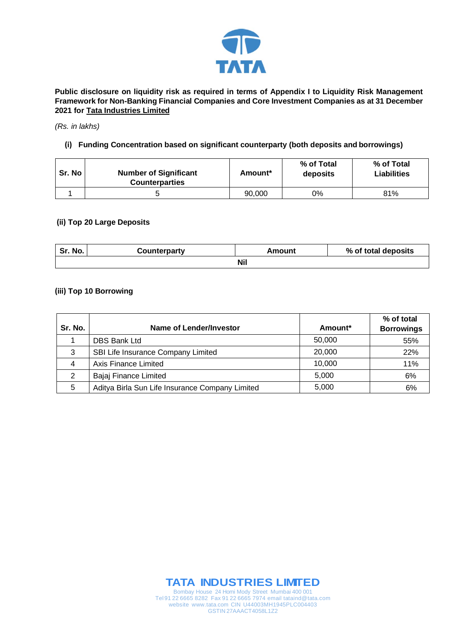

**Public disclosure on liquidity risk as required in terms of Appendix I to Liquidity Risk Management Framework for Non-Banking Financial Companies and Core Investment Companies as at 31 December 2021 for Tata Industries Limited**

#### *(Rs. in lakhs)*

## **(i) Funding Concentration based on significant counterparty (both deposits and borrowings)**

| Sr. No | <b>Number of Significant</b><br><b>Counterparties</b> | Amount* | % of Total<br>deposits | % of Total<br><b>Liabilities</b> |
|--------|-------------------------------------------------------|---------|------------------------|----------------------------------|
|        |                                                       | 90,000  | 0%                     | 81%                              |

### **(ii) Top 20 Large Deposits**

| Sr. No.    | Counterparty | Amount | % of total deposits |  |
|------------|--------------|--------|---------------------|--|
| <b>Nil</b> |              |        |                     |  |

## **(iii) Top 10 Borrowing**

| Sr. No. | Name of Lender/Investor                         | Amount* | % of total<br><b>Borrowings</b> |
|---------|-------------------------------------------------|---------|---------------------------------|
|         | <b>DBS Bank Ltd</b>                             | 50,000  | 55%                             |
| 3       | SBI Life Insurance Company Limited              | 20,000  | 22%                             |
| 4       | Axis Finance Limited                            | 10,000  | 11%                             |
| 2       | Bajaj Finance Limited                           | 5,000   | 6%                              |
| 5       | Aditya Birla Sun Life Insurance Company Limited | 5,000   | 6%                              |